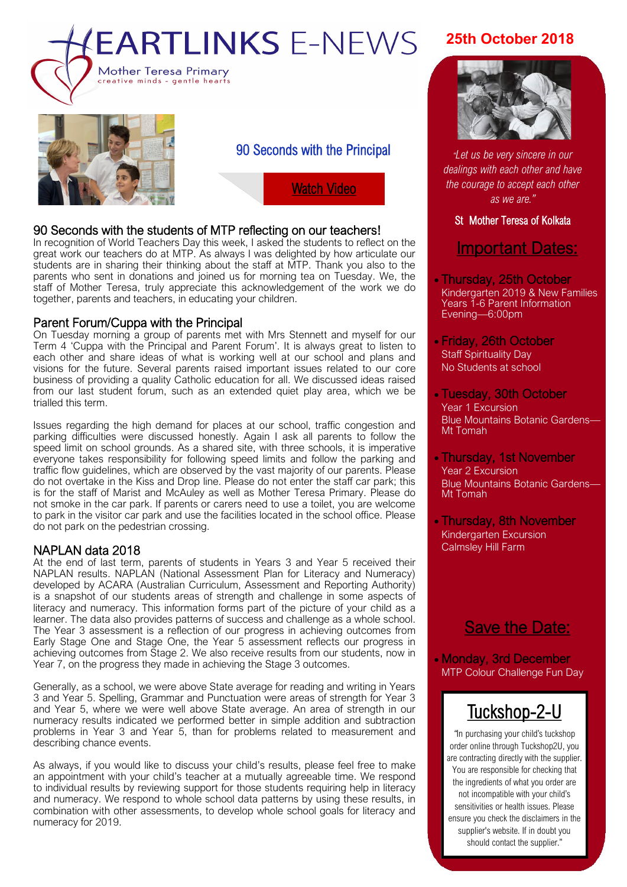



90 Seconds with the Principal

[Watch Video](https://www.facebook.com/Mother.Teresa.Primary/videos/256068841919741/)

#### 90 Seconds with the students of MTP reflecting on our teachers!

In recognition of World Teachers Day this week, I asked the students to reflect on the great work our teachers do at MTP. As always I was delighted by how articulate our students are in sharing their thinking about the staff at MTP. Thank you also to the parents who sent in donations and joined us for morning tea on Tuesday. We, the staff of Mother Teresa, truly appreciate this acknowledgement of the work we do together, parents and teachers, in educating your children.

#### Parent Forum/Cuppa with the Principal

On Tuesday morning a group of parents met with Mrs Stennett and myself for our Term 4 'Cuppa with the Principal and Parent Forum'. It is always great to listen to each other and share ideas of what is working well at our school and plans and visions for the future. Several parents raised important issues related to our core business of providing a quality Catholic education for all. We discussed ideas raised from our last student forum, such as an extended quiet play area, which we be trialled this term.

Issues regarding the high demand for places at our school, traffic congestion and parking difficulties were discussed honestly. Again I ask all parents to follow the speed limit on school grounds. As a shared site, with three schools, it is imperative everyone takes responsibility for following speed limits and follow the parking and traffic flow guidelines, which are observed by the vast majority of our parents. Please do not overtake in the Kiss and Drop line. Please do not enter the staff car park; this is for the staff of Marist and McAuley as well as Mother Teresa Primary. Please do not smoke in the car park. If parents or carers need to use a toilet, you are welcome to park in the visitor car park and use the facilities located in the school office. Please do not park on the pedestrian crossing.

#### NAPLAN data 2018

At the end of last term, parents of students in Years 3 and Year 5 received their NAPLAN results. NAPLAN (National Assessment Plan for Literacy and Numeracy) developed by ACARA (Australian Curriculum, Assessment and Reporting Authority) is a snapshot of our students areas of strength and challenge in some aspects of literacy and numeracy. This information forms part of the picture of your child as a learner. The data also provides patterns of success and challenge as a whole school. The Year 3 assessment is a reflection of our progress in achieving outcomes from Early Stage One and Stage One, the Year 5 assessment reflects our progress in achieving outcomes from Stage 2. We also receive results from our students, now in Year 7, on the progress they made in achieving the Stage 3 outcomes.

Generally, as a school, we were above State average for reading and writing in Years 3 and Year 5. Spelling, Grammar and Punctuation were areas of strength for Year 3 and Year 5, where we were well above State average. An area of strength in our numeracy results indicated we performed better in simple addition and subtraction problems in Year 3 and Year 5, than for problems related to measurement and describing chance events.

As always, if you would like to discuss your child's results, please feel free to make an appointment with your child's teacher at a mutually agreeable time. We respond to individual results by reviewing support for those students requiring help in literacy and numeracy. We respond to whole school data patterns by using these results, in combination with other assessments, to develop whole school goals for literacy and numeracy for 2019.

### **25th October 2018**



the courage to accept each other *"Let us be very sincere in our dealings with each other and have as we are."*

#### St Mother Teresa of Kolkata

# Important Dates:

- Thursday, 25th October Kindergarten 2019 & New Families Years 1-6 Parent Information Evening—6:00pm
- Friday, 26th October Staff Spirituality Day No Students at school
- Tuesday, 30th October Year 1 Excursion Blue Mountains Botanic Gardens— Mt Tomah
- Thursday, 1st November Year 2 Excursion Blue Mountains Botanic Gardens— Mt Tomah
- Thursday, 8th November Kindergarten Excursion Calmsley Hill Farm

## Save the Date:

• Monday, 3rd December MTP Colour Challenge Fun Day

# [Tuckshop](https://tuckshop2u.com.au/)-2-U

*"*In purchasing your child's tuckshop order online through Tuckshop2U, you are contracting directly with the supplier. You are responsible for checking that the ingredients of what you order are not incompatible with your child's sensitivities or health issues. Please ensure you check the disclaimers in the supplier's website. If in doubt you should contact the supplier."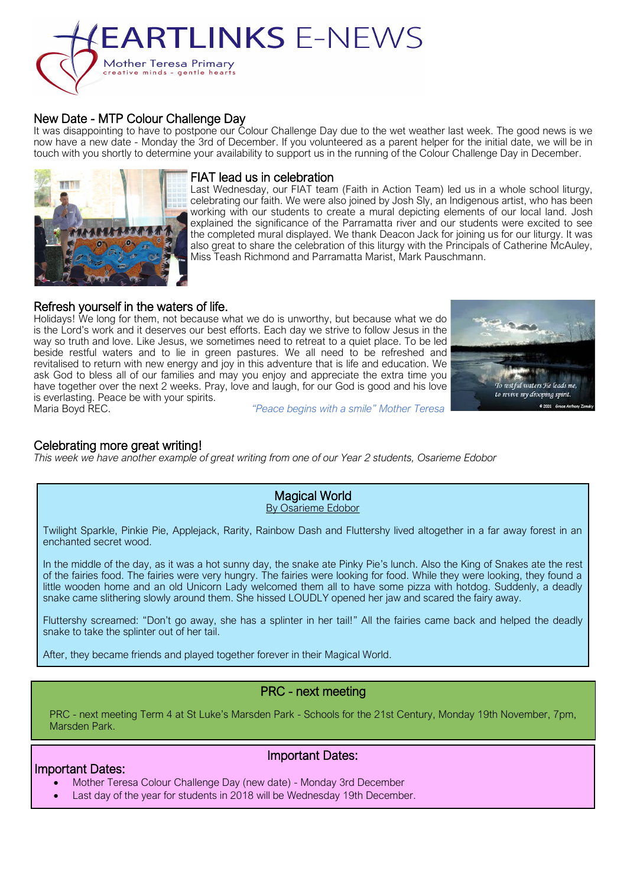# **EARTLINKS E-NEWS** Mother Teresa Primary<br>creative minds - gentle hearts



It was disappointing to have to postpone our Colour Challenge Day due to the wet weather last week. The good news is we now have a new date - Monday the 3rd of December. If you volunteered as a parent helper for the initial date, we will be in touch with you shortly to determine your availability to support us in the running of the Colour Challenge Day in December.



#### FIAT lead us in celebration

Last Wednesday, our FIAT team (Faith in Action Team) led us in a whole school liturgy, celebrating our faith. We were also joined by Josh Sly, an Indigenous artist, who has been working with our students to create a mural depicting elements of our local land. Josh explained the significance of the Parramatta river and our students were excited to see the completed mural displayed. We thank Deacon Jack for joining us for our liturgy. It was also great to share the celebration of this liturgy with the Principals of Catherine McAuley, Miss Teash Richmond and Parramatta Marist, Mark Pauschmann.

#### Refresh yourself in the waters of life.

Holidays! We long for them, not because what we do is unworthy, but because what we do is the Lord's work and it deserves our best efforts. Each day we strive to follow Jesus in the way so truth and love. Like Jesus, we sometimes need to retreat to a quiet place. To be led beside restful waters and to lie in green pastures. We all need to be refreshed and revitalised to return with new energy and joy in this adventure that is life and education. We ask God to bless all of our families and may you enjoy and appreciate the extra time you have together over the next 2 weeks. Pray, love and laugh, for our God is good and his love is everlasting. Peace be with your spirits.<br>Maria Boyd REC.



Maria Boyd REC. *"Peace begins with a smile" Mother Teresa*

#### Celebrating more great writing!

*This week we have another example of great writing from one of our Year 2 students, Osarieme Edobor*

Magical World By Osarieme Edobor

Twilight Sparkle, Pinkie Pie, Applejack, Rarity, Rainbow Dash and Fluttershy lived altogether in a far away forest in an enchanted secret wood.

In the middle of the day, as it was a hot sunny day, the snake ate Pinky Pie's lunch. Also the King of Snakes ate the rest of the fairies food. The fairies were very hungry. The fairies were looking for food. While they were looking, they found a little wooden home and an old Unicorn Lady welcomed them all to have some pizza with hotdog. Suddenly, a deadly snake came slithering slowly around them. She hissed LOUDLY opened her jaw and scared the fairy away.

Fluttershy screamed: "Don't go away, she has a splinter in her tail!" All the fairies came back and helped the deadly snake to take the splinter out of her tail.

After, they became friends and played together forever in their Magical World.

#### PRC - next meeting

PRC - next meeting Term 4 at St Luke's Marsden Park - Schools for the 21st Century, Monday 19th November, 7pm, Marsden Park.

#### Important Dates:

#### Important Dates:

- Mother Teresa Colour Challenge Day (new date) Monday 3rd December
- Last day of the year for students in 2018 will be Wednesday 19th December.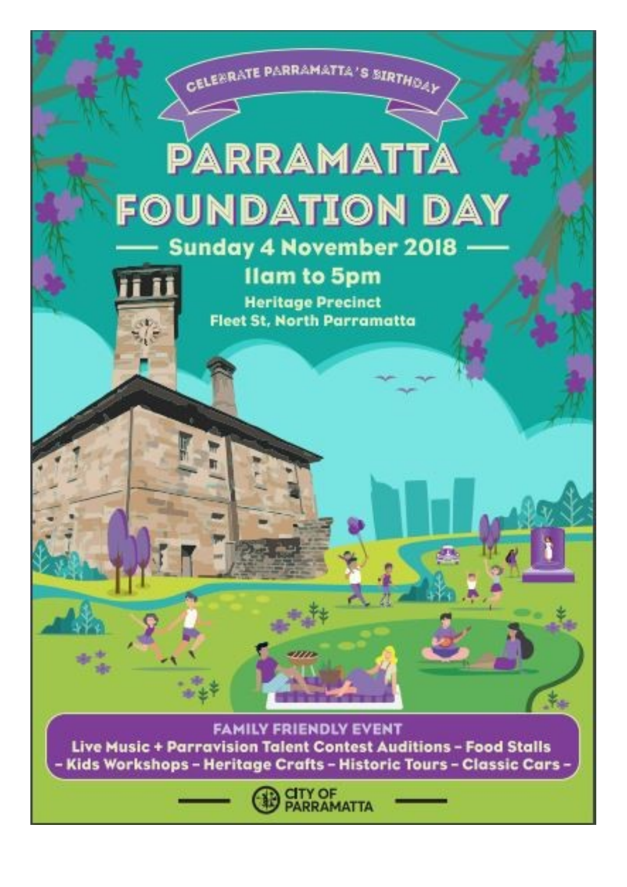

**CITY OF<br>PARRAMATTA**